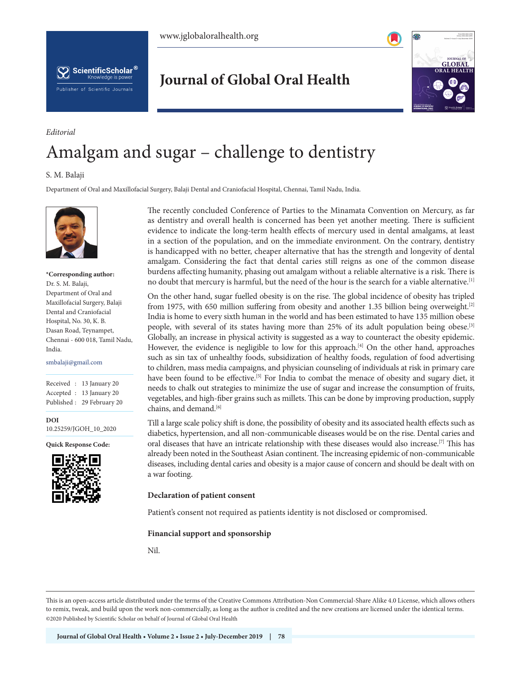



**Journal of Global Oral Health**



# Amalgam and sugar – challenge to dentistry

## S. M. Balaji

*Editorial*

Department of Oral and Maxillofacial Surgery, Balaji Dental and Craniofacial Hospital, Chennai, Tamil Nadu, India.



## **\*Corresponding author:**  Dr. S. M. Balaji, Department of Oral and Maxillofacial Surgery, Balaji Dental and Craniofacial Hospital, No. 30, K. B. Dasan Road, Teynampet, Chennai - 600 018, Tamil Nadu, India.

#### smbalaji@gmail.com

Received : 13 January 20 Accepted : 13 January 20 Published : 29 February 20

**DOI** 10.25259/JGOH\_10\_2020

**Quick Response Code:**



The recently concluded Conference of Parties to the Minamata Convention on Mercury, as far as dentistry and overall health is concerned has been yet another meeting. There is sufficient evidence to indicate the long-term health effects of mercury used in dental amalgams, at least in a section of the population, and on the immediate environment. On the contrary, dentistry is handicapped with no better, cheaper alternative that has the strength and longevity of dental amalgam. Considering the fact that dental caries still reigns as one of the common disease burdens affecting humanity, phasing out amalgam without a reliable alternative is a risk. There is no doubt that mercury is harmful, but the need of the hour is the search for a viable alternative.[1]

On the other hand, sugar fuelled obesity is on the rise. The global incidence of obesity has tripled from 1975, with 650 million suffering from obesity and another 1.35 billion being overweight.[2] India is home to every sixth human in the world and has been estimated to have 135 million obese people, with several of its states having more than 25% of its adult population being obese.[3] Globally, an increase in physical activity is suggested as a way to counteract the obesity epidemic. However, the evidence is negligible to low for this approach.<sup>[4]</sup> On the other hand, approaches such as sin tax of unhealthy foods, subsidization of healthy foods, regulation of food advertising to children, mass media campaigns, and physician counseling of individuals at risk in primary care have been found to be effective.<sup>[5]</sup> For India to combat the menace of obesity and sugary diet, it needs to chalk out strategies to minimize the use of sugar and increase the consumption of fruits, vegetables, and high-fiber grains such as millets. This can be done by improving production, supply chains, and demand.[6]

Till a large scale policy shift is done, the possibility of obesity and its associated health effects such as diabetics, hypertension, and all non-communicable diseases would be on the rise. Dental caries and oral diseases that have an intricate relationship with these diseases would also increase.[7] This has already been noted in the Southeast Asian continent. The increasing epidemic of non-communicable diseases, including dental caries and obesity is a major cause of concern and should be dealt with on a war footing.

### **Declaration of patient consent**

Patient's consent not required as patients identity is not disclosed or compromised.

#### **Financial support and sponsorship**

Nil.

This is an open-access article distributed under the terms of the Creative Commons Attribution-Non Commercial-Share Alike 4.0 License, which allows others to remix, tweak, and build upon the work non-commercially, as long as the author is credited and the new creations are licensed under the identical terms. ©2020 Published by Scientific Scholar on behalf of Journal of Global Oral Health